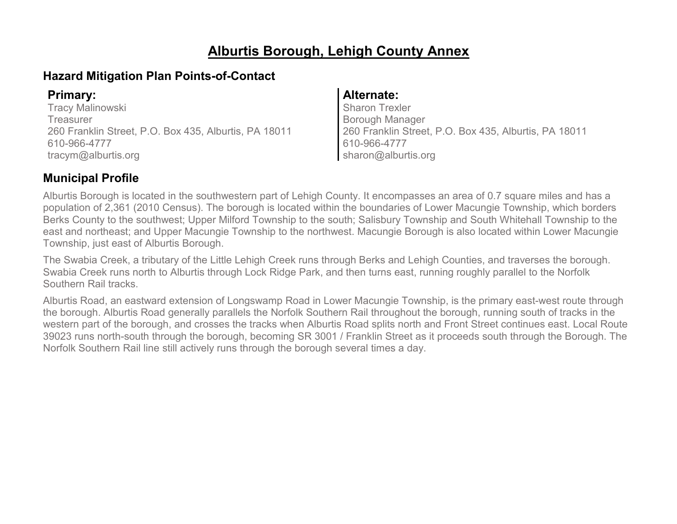# **Alburtis Borough, Lehigh County Annex**

### **Hazard Mitigation Plan Points-of-Contact**

Tracy Malinowski **Treasurer** 260 Franklin Street, P.O. Box 435, Alburtis, PA 18011 610-966-4777 tracym@alburtis.org

### **Primary: Alternate:**

Sharon Trexler Borough Manager 260 Franklin Street, P.O. Box 435, Alburtis, PA 18011 610-966-4777 sharon@alburtis.org

# **Municipal Profile**

Alburtis Borough is located in the southwestern part of Lehigh County. It encompasses an area of 0.7 square miles and has a population of 2,361 (2010 Census). The borough is located within the boundaries of Lower Macungie Township, which borders Berks County to the southwest; Upper Milford Township to the south; Salisbury Township and South Whitehall Township to the east and northeast; and Upper Macungie Township to the northwest. Macungie Borough is also located within Lower Macungie Township, just east of Alburtis Borough.

The Swabia Creek, a tributary of the Little Lehigh Creek runs through Berks and Lehigh Counties, and traverses the borough. Swabia Creek runs north to Alburtis through Lock Ridge Park, and then turns east, running roughly parallel to the Norfolk Southern Rail tracks.

Alburtis Road, an eastward extension of Longswamp Road in Lower Macungie Township, is the primary east-west route through the borough. Alburtis Road generally parallels the Norfolk Southern Rail throughout the borough, running south of tracks in the western part of the borough, and crosses the tracks when Alburtis Road splits north and Front Street continues east. Local Route 39023 runs north-south through the borough, becoming SR 3001 / Franklin Street as it proceeds south through the Borough. The Norfolk Southern Rail line still actively runs through the borough several times a day.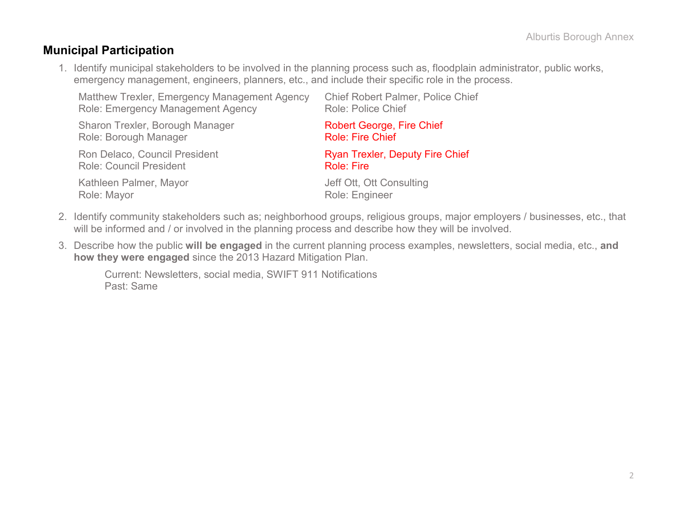### **Municipal Participation**

1. Identify municipal stakeholders to be involved in the planning process such as, floodplain administrator, public works, emergency management, engineers, planners, etc., and include their specific role in the process.

| Matthew Trexler, Emergency Management Agency | <b>Chief Robert Palmer, Police Chief</b> |
|----------------------------------------------|------------------------------------------|
| <b>Role: Emergency Management Agency</b>     | <b>Role: Police Chief</b>                |
| Sharon Trexler, Borough Manager              | <b>Robert George, Fire Chief</b>         |
| Role: Borough Manager                        | <b>Role: Fire Chief</b>                  |
| Ron Delaco, Council President                | <b>Ryan Trexler, Deputy Fire Chief</b>   |
| <b>Role: Council President</b>               | <b>Role: Fire</b>                        |
| Kathleen Palmer, Mayor                       | Jeff Ott, Ott Consulting                 |
| Role: Mayor                                  | Role: Engineer                           |

- 2. Identify community stakeholders such as; neighborhood groups, religious groups, major employers / businesses, etc., that will be informed and / or involved in the planning process and describe how they will be involved.
- 3. Describe how the public **will be engaged** in the current planning process examples, newsletters, social media, etc., **and how they were engaged** since the 2013 Hazard Mitigation Plan.

Current: Newsletters, social media, SWIFT 911 Notifications Past: Same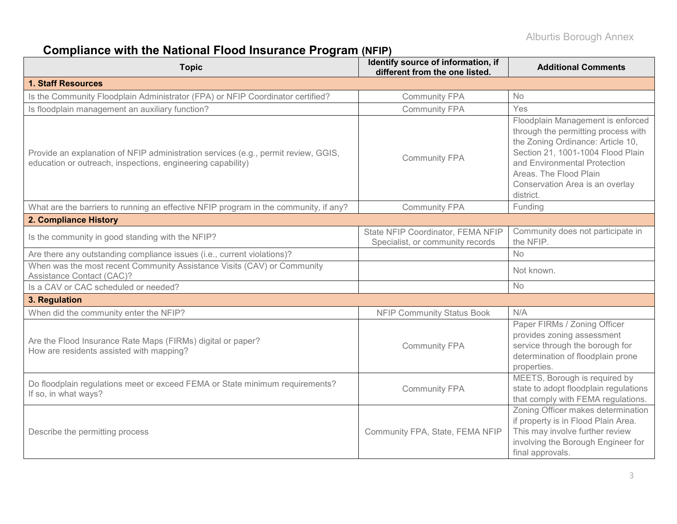# **Compliance with the National Flood Insurance Program (NFIP)**

| <b>Topic</b>                                                                                                                                      | Identify source of information, if<br>different from the one listed.  | <b>Additional Comments</b>                                                                                                                                                                                                                                   |
|---------------------------------------------------------------------------------------------------------------------------------------------------|-----------------------------------------------------------------------|--------------------------------------------------------------------------------------------------------------------------------------------------------------------------------------------------------------------------------------------------------------|
| <b>1. Staff Resources</b>                                                                                                                         |                                                                       |                                                                                                                                                                                                                                                              |
| Is the Community Floodplain Administrator (FPA) or NFIP Coordinator certified?                                                                    | <b>Community FPA</b>                                                  | No.                                                                                                                                                                                                                                                          |
| Is floodplain management an auxiliary function?                                                                                                   | <b>Community FPA</b>                                                  | Yes                                                                                                                                                                                                                                                          |
| Provide an explanation of NFIP administration services (e.g., permit review, GGIS,<br>education or outreach, inspections, engineering capability) | <b>Community FPA</b>                                                  | Floodplain Management is enforced<br>through the permitting process with<br>the Zoning Ordinance: Article 10,<br>Section 21, 1001-1004 Flood Plain<br>and Environmental Protection<br>Areas. The Flood Plain<br>Conservation Area is an overlay<br>district. |
| What are the barriers to running an effective NFIP program in the community, if any?                                                              | <b>Community FPA</b>                                                  | Funding                                                                                                                                                                                                                                                      |
| 2. Compliance History                                                                                                                             |                                                                       |                                                                                                                                                                                                                                                              |
| Is the community in good standing with the NFIP?                                                                                                  | State NFIP Coordinator, FEMA NFIP<br>Specialist, or community records | Community does not participate in<br>the NFIP.                                                                                                                                                                                                               |
| Are there any outstanding compliance issues (i.e., current violations)?                                                                           |                                                                       | <b>No</b>                                                                                                                                                                                                                                                    |
| When was the most recent Community Assistance Visits (CAV) or Community<br>Assistance Contact (CAC)?                                              |                                                                       | Not known.                                                                                                                                                                                                                                                   |
| Is a CAV or CAC scheduled or needed?                                                                                                              |                                                                       | <b>No</b>                                                                                                                                                                                                                                                    |
| 3. Regulation                                                                                                                                     |                                                                       |                                                                                                                                                                                                                                                              |
| When did the community enter the NFIP?                                                                                                            | <b>NFIP Community Status Book</b>                                     | N/A                                                                                                                                                                                                                                                          |
| Are the Flood Insurance Rate Maps (FIRMs) digital or paper?<br>How are residents assisted with mapping?                                           | <b>Community FPA</b>                                                  | Paper FIRMs / Zoning Officer<br>provides zoning assessment<br>service through the borough for<br>determination of floodplain prone<br>properties.                                                                                                            |
| Do floodplain regulations meet or exceed FEMA or State minimum requirements?<br>If so, in what ways?                                              | <b>Community FPA</b>                                                  | MEETS, Borough is required by<br>state to adopt floodplain regulations<br>that comply with FEMA regulations.                                                                                                                                                 |
| Describe the permitting process                                                                                                                   | Community FPA, State, FEMA NFIP                                       | Zoning Officer makes determination<br>if property is in Flood Plain Area.<br>This may involve further review<br>involving the Borough Engineer for<br>final approvals.                                                                                       |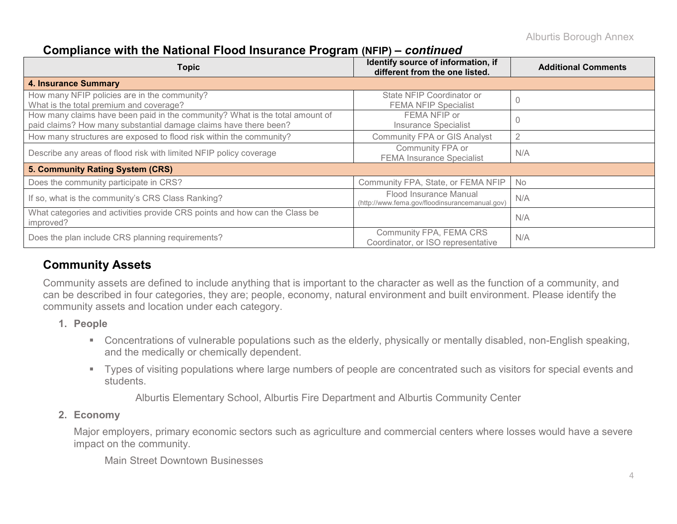### **Compliance with the National Flood Insurance Program (NFIP) –** *continued*

| <b>Topic</b>                                                                                                                                     | Identify source of information, if<br>different from the one listed.     | <b>Additional Comments</b> |
|--------------------------------------------------------------------------------------------------------------------------------------------------|--------------------------------------------------------------------------|----------------------------|
| <b>4. Insurance Summary</b>                                                                                                                      |                                                                          |                            |
| How many NFIP policies are in the community?<br>What is the total premium and coverage?                                                          | State NFIP Coordinator or<br><b>FEMA NFIP Specialist</b>                 |                            |
| How many claims have been paid in the community? What is the total amount of<br>paid claims? How many substantial damage claims have there been? | FEMA NFIP or<br><b>Insurance Specialist</b>                              |                            |
| How many structures are exposed to flood risk within the community?                                                                              | <b>Community FPA or GIS Analyst</b>                                      | $\overline{2}$             |
| Describe any areas of flood risk with limited NFIP policy coverage                                                                               | Community FPA or<br><b>FEMA Insurance Specialist</b>                     | N/A                        |
| 5. Community Rating System (CRS)                                                                                                                 |                                                                          |                            |
| Does the community participate in CRS?                                                                                                           | Community FPA, State, or FEMA NFIP                                       | <b>No</b>                  |
| If so, what is the community's CRS Class Ranking?                                                                                                | Flood Insurance Manual<br>(http://www.fema.gov/floodinsurancemanual.gov) | N/A                        |
| What categories and activities provide CRS points and how can the Class be<br>improved?                                                          |                                                                          | N/A                        |
| Does the plan include CRS planning requirements?                                                                                                 | Community FPA, FEMA CRS<br>Coordinator, or ISO representative            | N/A                        |

# **Community Assets**

Community assets are defined to include anything that is important to the character as well as the function of a community, and can be described in four categories, they are; people, economy, natural environment and built environment. Please identify the community assets and location under each category.

- **1. People**
	- Concentrations of vulnerable populations such as the elderly, physically or mentally disabled, non-English speaking, and the medically or chemically dependent.
	- Types of visiting populations where large numbers of people are concentrated such as visitors for special events and students.

Alburtis Elementary School, Alburtis Fire Department and Alburtis Community Center

### **2. Economy**

Major employers, primary economic sectors such as agriculture and commercial centers where losses would have a severe impact on the community.

Main Street Downtown Businesses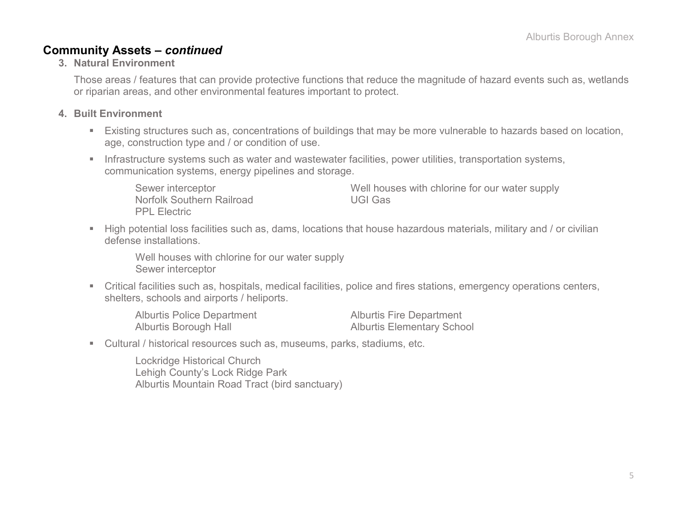### **Community Assets –** *continued*

#### **3. Natural Environment**

Those areas / features that can provide protective functions that reduce the magnitude of hazard events such as, wetlands or riparian areas, and other environmental features important to protect.

#### **4. Built Environment**

- Existing structures such as, concentrations of buildings that may be more vulnerable to hazards based on location, age, construction type and / or condition of use.
- **Infrastructure systems such as water and wastewater facilities, power utilities, transportation systems,** communication systems, energy pipelines and storage.

Norfolk Southern Railroad VGI Gas PPL Electric

Sewer interceptor **Sewer interceptor** Sewer interceptor

 High potential loss facilities such as, dams, locations that house hazardous materials, military and / or civilian defense installations.

Well houses with chlorine for our water supply Sewer interceptor

 Critical facilities such as, hospitals, medical facilities, police and fires stations, emergency operations centers, shelters, schools and airports / heliports.

Alburtis Police Department Alburtis Fire Department Alburtis Borough Hall **Alburtis Elementary School** 

Cultural / historical resources such as, museums, parks, stadiums, etc.

Lockridge Historical Church Lehigh County's Lock Ridge Park Alburtis Mountain Road Tract (bird sanctuary)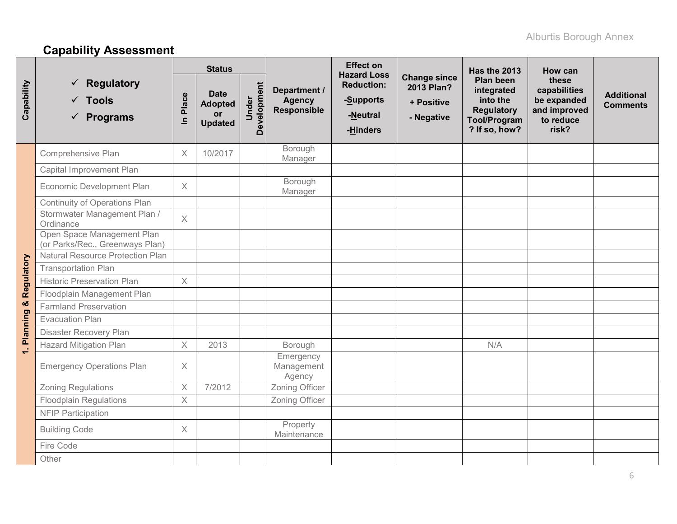# **Capability Assessment**

|            |                                                               |                         | <b>Status</b>                                                |                      |                                                     | <b>Effect on</b><br><b>Hazard Loss</b>                 |                                                               | Has the 2013                                                                                            | How can                                                                    |                                      |
|------------|---------------------------------------------------------------|-------------------------|--------------------------------------------------------------|----------------------|-----------------------------------------------------|--------------------------------------------------------|---------------------------------------------------------------|---------------------------------------------------------------------------------------------------------|----------------------------------------------------------------------------|--------------------------------------|
| Capability | Regulatory<br>$\times$ Tools<br>$\checkmark$ Programs         | Place<br>$\subseteq$    | <b>Date</b><br><b>Adopted</b><br><b>or</b><br><b>Updated</b> | Development<br>Under | Department /<br><b>Agency</b><br><b>Responsible</b> | <b>Reduction:</b><br>-Supports<br>-Neutral<br>-Hinders | <b>Change since</b><br>2013 Plan?<br>+ Positive<br>- Negative | <b>Plan been</b><br>integrated<br>into the<br><b>Regulatory</b><br><b>Tool/Program</b><br>? If so, how? | these<br>capabilities<br>be expanded<br>and improved<br>to reduce<br>risk? | <b>Additional</b><br><b>Comments</b> |
|            | Comprehensive Plan                                            | X                       | 10/2017                                                      |                      | Borough<br>Manager                                  |                                                        |                                                               |                                                                                                         |                                                                            |                                      |
|            | Capital Improvement Plan                                      |                         |                                                              |                      |                                                     |                                                        |                                                               |                                                                                                         |                                                                            |                                      |
|            | Economic Development Plan                                     | $\times$                |                                                              |                      | Borough<br>Manager                                  |                                                        |                                                               |                                                                                                         |                                                                            |                                      |
| Regulatory | <b>Continuity of Operations Plan</b>                          |                         |                                                              |                      |                                                     |                                                        |                                                               |                                                                                                         |                                                                            |                                      |
|            | Stormwater Management Plan /<br>Ordinance                     | $\times$                |                                                              |                      |                                                     |                                                        |                                                               |                                                                                                         |                                                                            |                                      |
|            | Open Space Management Plan<br>(or Parks/Rec., Greenways Plan) |                         |                                                              |                      |                                                     |                                                        |                                                               |                                                                                                         |                                                                            |                                      |
|            | <b>Natural Resource Protection Plan</b>                       |                         |                                                              |                      |                                                     |                                                        |                                                               |                                                                                                         |                                                                            |                                      |
|            | <b>Transportation Plan</b>                                    |                         |                                                              |                      |                                                     |                                                        |                                                               |                                                                                                         |                                                                            |                                      |
|            | <b>Historic Preservation Plan</b>                             | $\times$                |                                                              |                      |                                                     |                                                        |                                                               |                                                                                                         |                                                                            |                                      |
|            | Floodplain Management Plan                                    |                         |                                                              |                      |                                                     |                                                        |                                                               |                                                                                                         |                                                                            |                                      |
|            | <b>Farmland Preservation</b>                                  |                         |                                                              |                      |                                                     |                                                        |                                                               |                                                                                                         |                                                                            |                                      |
| Planning & | <b>Evacuation Plan</b>                                        |                         |                                                              |                      |                                                     |                                                        |                                                               |                                                                                                         |                                                                            |                                      |
|            | Disaster Recovery Plan                                        |                         |                                                              |                      |                                                     |                                                        |                                                               |                                                                                                         |                                                                            |                                      |
| Q          | <b>Hazard Mitigation Plan</b>                                 | $\times$                | 2013                                                         |                      | Borough                                             |                                                        |                                                               | N/A                                                                                                     |                                                                            |                                      |
|            | <b>Emergency Operations Plan</b>                              | $\times$                |                                                              |                      | Emergency<br>Management<br>Agency                   |                                                        |                                                               |                                                                                                         |                                                                            |                                      |
|            | <b>Zoning Regulations</b>                                     | $\overline{\mathsf{X}}$ | 7/2012                                                       |                      | Zoning Officer                                      |                                                        |                                                               |                                                                                                         |                                                                            |                                      |
|            | <b>Floodplain Regulations</b>                                 | X                       |                                                              |                      | Zoning Officer                                      |                                                        |                                                               |                                                                                                         |                                                                            |                                      |
|            | <b>NFIP Participation</b>                                     |                         |                                                              |                      |                                                     |                                                        |                                                               |                                                                                                         |                                                                            |                                      |
|            | <b>Building Code</b>                                          | X                       |                                                              |                      | Property<br>Maintenance                             |                                                        |                                                               |                                                                                                         |                                                                            |                                      |
|            | Fire Code                                                     |                         |                                                              |                      |                                                     |                                                        |                                                               |                                                                                                         |                                                                            |                                      |
|            | Other                                                         |                         |                                                              |                      |                                                     |                                                        |                                                               |                                                                                                         |                                                                            |                                      |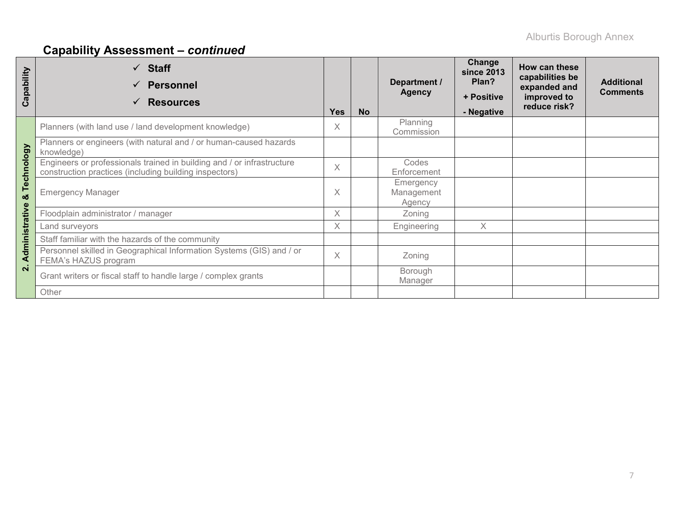# **Capability Assessment –** *continued*

| apability<br>ت | <b>Staff</b><br>$\checkmark$<br><b>Personnel</b><br>$\checkmark$<br><b>Resources</b><br>✓                                        | <b>Yes</b> | <b>No</b> | Department /<br><b>Agency</b>     | Change<br><b>since 2013</b><br>Plan?<br>+ Positive<br>- Negative | How can these<br>capabilities be<br>expanded and<br>improved to<br>reduce risk? | <b>Additional</b><br><b>Comments</b> |
|----------------|----------------------------------------------------------------------------------------------------------------------------------|------------|-----------|-----------------------------------|------------------------------------------------------------------|---------------------------------------------------------------------------------|--------------------------------------|
|                | Planners (with land use / land development knowledge)                                                                            | X          |           | Planning<br>Commission            |                                                                  |                                                                                 |                                      |
|                | Planners or engineers (with natural and / or human-caused hazards<br>knowledge)                                                  |            |           |                                   |                                                                  |                                                                                 |                                      |
| Technology     | Engineers or professionals trained in building and / or infrastructure<br>construction practices (including building inspectors) | $\times$   |           | Codes<br>Enforcement              |                                                                  |                                                                                 |                                      |
| ಯ              | <b>Emergency Manager</b>                                                                                                         | $\times$   |           | Emergency<br>Management<br>Agency |                                                                  |                                                                                 |                                      |
|                | Floodplain administrator / manager                                                                                               | $\times$   |           | Zoning                            |                                                                  |                                                                                 |                                      |
|                | Land surveyors                                                                                                                   | X          |           | Engineering                       | X                                                                |                                                                                 |                                      |
|                | Staff familiar with the hazards of the community                                                                                 |            |           |                                   |                                                                  |                                                                                 |                                      |
| Administrative | Personnel skilled in Geographical Information Systems (GIS) and / or<br>FEMA's HAZUS program                                     |            |           | Zoning                            |                                                                  |                                                                                 |                                      |
| $\overline{N}$ | Grant writers or fiscal staff to handle large / complex grants                                                                   |            |           | Borough<br>Manager                |                                                                  |                                                                                 |                                      |
|                | Other                                                                                                                            |            |           |                                   |                                                                  |                                                                                 |                                      |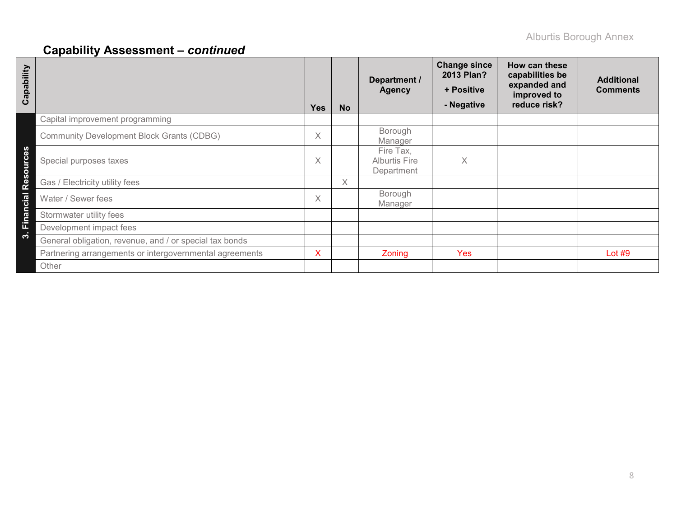# **Capability Assessment –** *continued*

| Capability |                                                         | <b>Yes</b> | <b>No</b> | Department /<br><b>Agency</b>                   | <b>Change since</b><br>2013 Plan?<br>+ Positive<br>- Negative | How can these<br>capabilities be<br>expanded and<br>improved to<br>reduce risk? | <b>Additional</b><br><b>Comments</b> |
|------------|---------------------------------------------------------|------------|-----------|-------------------------------------------------|---------------------------------------------------------------|---------------------------------------------------------------------------------|--------------------------------------|
|            | Capital improvement programming                         |            |           |                                                 |                                                               |                                                                                 |                                      |
|            | <b>Community Development Block Grants (CDBG)</b>        | Χ          |           | Borough<br>Manager                              |                                                               |                                                                                 |                                      |
| Resources  | Special purposes taxes                                  | X          |           | Fire Tax,<br><b>Alburtis Fire</b><br>Department | Χ                                                             |                                                                                 |                                      |
|            | Gas / Electricity utility fees                          |            | $\times$  |                                                 |                                                               |                                                                                 |                                      |
| Financial  | Water / Sewer fees                                      | Χ          |           | Borough<br>Manager                              |                                                               |                                                                                 |                                      |
|            | Stormwater utility fees                                 |            |           |                                                 |                                                               |                                                                                 |                                      |
|            | Development impact fees                                 |            |           |                                                 |                                                               |                                                                                 |                                      |
| ო          | General obligation, revenue, and / or special tax bonds |            |           |                                                 |                                                               |                                                                                 |                                      |
|            | Partnering arrangements or intergovernmental agreements | x          |           | Zoning                                          | <b>Yes</b>                                                    |                                                                                 | Lot $#9$                             |
|            | Other                                                   |            |           |                                                 |                                                               |                                                                                 |                                      |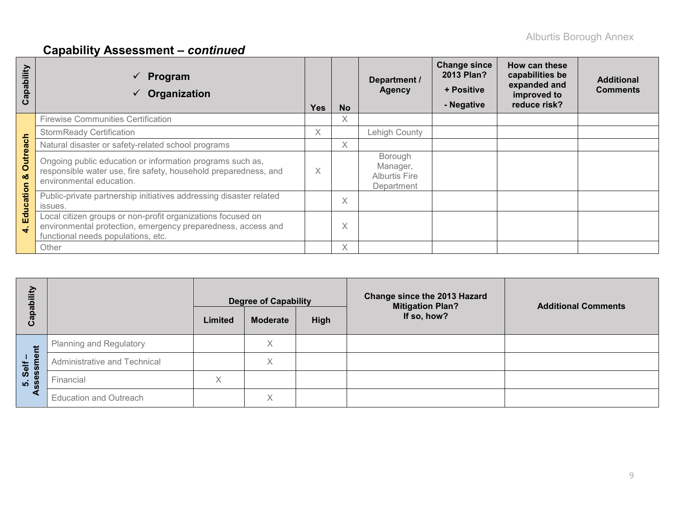# **Capability Assessment –** *continued*

| ability<br>Cap        | Program<br>Organization                                                                                                                                           | <b>Yes</b> | <b>No</b> | Department /<br>Agency                                    | <b>Change since</b><br>2013 Plan?<br>+ Positive<br>- Negative | How can these<br>capabilities be<br>expanded and<br>improved to<br>reduce risk? | <b>Additional</b><br><b>Comments</b> |
|-----------------------|-------------------------------------------------------------------------------------------------------------------------------------------------------------------|------------|-----------|-----------------------------------------------------------|---------------------------------------------------------------|---------------------------------------------------------------------------------|--------------------------------------|
|                       | <b>Firewise Communities Certification</b>                                                                                                                         |            | X         |                                                           |                                                               |                                                                                 |                                      |
|                       | <b>StormReady Certification</b>                                                                                                                                   | X          |           | Lehigh County                                             |                                                               |                                                                                 |                                      |
|                       | Natural disaster or safety-related school programs                                                                                                                |            | X         |                                                           |                                                               |                                                                                 |                                      |
| <b>Outreach</b><br>oð | Ongoing public education or information programs such as,<br>responsible water use, fire safety, household preparedness, and<br>environmental education.          | $\times$   |           | Borough<br>Manager,<br><b>Alburtis Fire</b><br>Department |                                                               |                                                                                 |                                      |
| ation                 | Public-private partnership initiatives addressing disaster related<br>issues.                                                                                     |            | $\times$  |                                                           |                                                               |                                                                                 |                                      |
| Educ<br>$\ddot{ }$    | Local citizen groups or non-profit organizations focused on<br>environmental protection, emergency preparedness, access and<br>functional needs populations, etc. |            | X         |                                                           |                                                               |                                                                                 |                                      |
|                       | Other                                                                                                                                                             |            | X         |                                                           |                                                               |                                                                                 |                                      |

| Capability      | <b>Degree of Capability</b><br>High<br>Limited<br><b>Moderate</b> |   | Change since the 2013 Hazard<br><b>Mitigation Plan?</b><br>If so, how? | <b>Additional Comments</b> |  |
|-----------------|-------------------------------------------------------------------|---|------------------------------------------------------------------------|----------------------------|--|
|                 | <b>Planning and Regulatory</b>                                    |   | Χ                                                                      |                            |  |
| essment<br>Self | Administrative and Technical                                      |   | Χ                                                                      |                            |  |
| ທ່ ທ            | Financial                                                         | X |                                                                        |                            |  |
|                 | <b>Education and Outreach</b>                                     |   | X                                                                      |                            |  |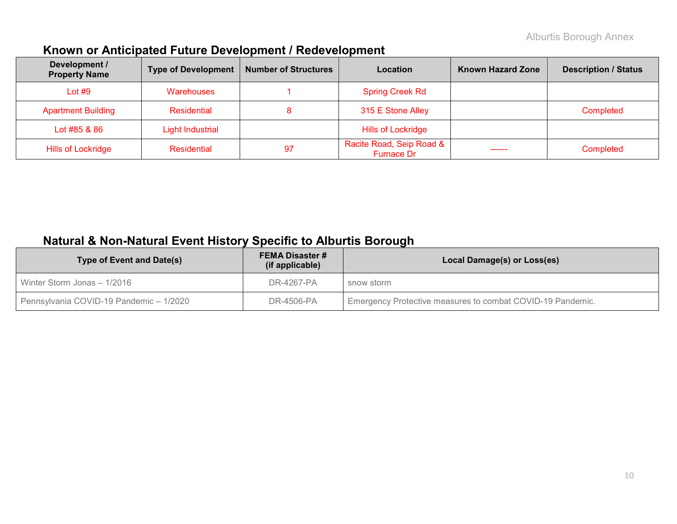# **Known or Anticipated Future Development / Redevelopment**

| Development /<br><b>Property Name</b> | <b>Type of Development</b> | <b>Number of Structures</b><br>Location |                                        | <b>Known Hazard Zone</b> | <b>Description / Status</b> |
|---------------------------------------|----------------------------|-----------------------------------------|----------------------------------------|--------------------------|-----------------------------|
| Lot $#9$                              | <b>Warehouses</b>          |                                         | <b>Spring Creek Rd</b>                 |                          |                             |
| <b>Apartment Building</b>             | Residential                |                                         | 315 E Stone Alley                      |                          | Completed                   |
| Lot #85 & 86                          | <b>Light Industrial</b>    |                                         | <b>Hills of Lockridge</b>              |                          |                             |
| <b>Hills of Lockridge</b>             | Residential                | 97                                      | Racite Road, Seip Road &<br>Furnace Dr | -----                    | Completed                   |

# **Natural & Non-Natural Event History Specific to Alburtis Borough**

| Type of Event and Date(s)               | <b>FEMA Disaster #</b><br>(if applicable) | Local Damage(s) or Loss(es)                                |
|-----------------------------------------|-------------------------------------------|------------------------------------------------------------|
| Winter Storm Jonas - 1/2016             | DR-4267-PA                                | snow storm                                                 |
| Pennsylvania COVID-19 Pandemic - 1/2020 | DR-4506-PA                                | Emergency Protective measures to combat COVID-19 Pandemic. |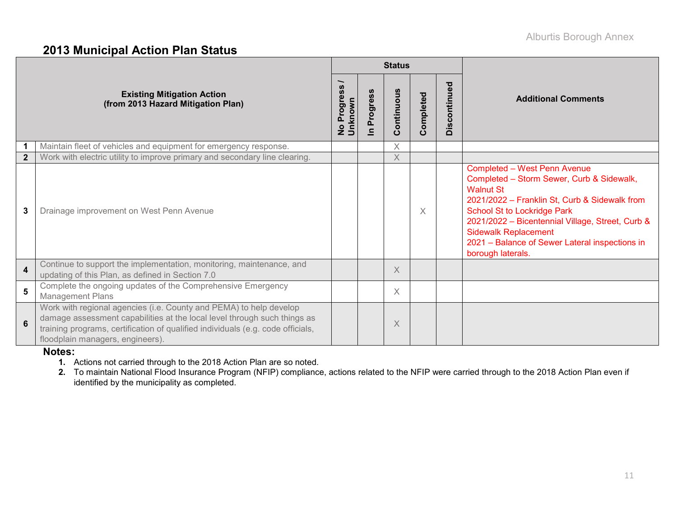### **2013 Municipal Action Plan Status**

|                |                                                                                                                                                                                                                                                                       |                             |                            | <b>Status</b> |           |              |                                                                                                                                                                                                                                                                                                                                                       |  |
|----------------|-----------------------------------------------------------------------------------------------------------------------------------------------------------------------------------------------------------------------------------------------------------------------|-----------------------------|----------------------------|---------------|-----------|--------------|-------------------------------------------------------------------------------------------------------------------------------------------------------------------------------------------------------------------------------------------------------------------------------------------------------------------------------------------------------|--|
|                | <b>Existing Mitigation Action</b><br>(from 2013 Hazard Mitigation Plan)                                                                                                                                                                                               | ∽<br>No Progress<br>Unknown | Progress<br>$\overline{=}$ | Continuous    | Completed | Discontinued | <b>Additional Comments</b>                                                                                                                                                                                                                                                                                                                            |  |
|                | Maintain fleet of vehicles and equipment for emergency response.                                                                                                                                                                                                      |                             |                            | Χ             |           |              |                                                                                                                                                                                                                                                                                                                                                       |  |
| $\overline{2}$ | Work with electric utility to improve primary and secondary line clearing.                                                                                                                                                                                            |                             |                            | X             |           |              |                                                                                                                                                                                                                                                                                                                                                       |  |
| 3              | Drainage improvement on West Penn Avenue                                                                                                                                                                                                                              |                             |                            |               | X         |              | <b>Completed - West Penn Avenue</b><br>Completed - Storm Sewer, Curb & Sidewalk,<br><b>Walnut St</b><br>2021/2022 - Franklin St, Curb & Sidewalk from<br><b>School St to Lockridge Park</b><br>2021/2022 - Bicentennial Village, Street, Curb &<br><b>Sidewalk Replacement</b><br>2021 - Balance of Sewer Lateral inspections in<br>borough laterals. |  |
| 4              | Continue to support the implementation, monitoring, maintenance, and<br>updating of this Plan, as defined in Section 7.0                                                                                                                                              |                             |                            | X             |           |              |                                                                                                                                                                                                                                                                                                                                                       |  |
| 5              | Complete the ongoing updates of the Comprehensive Emergency<br><b>Management Plans</b>                                                                                                                                                                                |                             |                            | X             |           |              |                                                                                                                                                                                                                                                                                                                                                       |  |
| 6              | Work with regional agencies (i.e. County and PEMA) to help develop<br>damage assessment capabilities at the local level through such things as<br>training programs, certification of qualified individuals (e.g. code officials,<br>floodplain managers, engineers). |                             |                            | X             |           |              |                                                                                                                                                                                                                                                                                                                                                       |  |

#### **Notes:**

**1.** Actions not carried through to the 2018 Action Plan are so noted.

2. To maintain National Flood Insurance Program (NFIP) compliance, actions related to the NFIP were carried through to the 2018 Action Plan even if identified by the municipality as completed.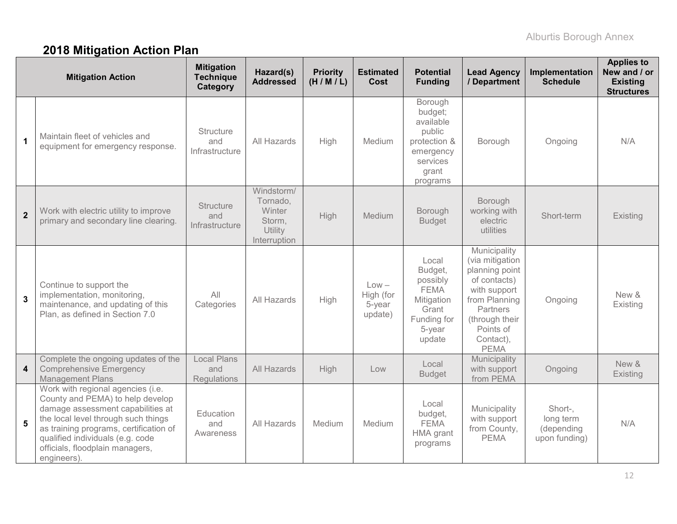# **2018 Mitigation Action Plan**

|                         | <b>Mitigation Action</b>                                                                                                                                                                                                                                                          | <b>Mitigation</b><br><b>Technique</b><br>Category | Hazard(s)<br><b>Addressed</b>                                         | <b>Priority</b><br>(H/M/L) | <b>Estimated</b><br><b>Cost</b>           | <b>Potential</b><br><b>Funding</b>                                                                      | <b>Lead Agency</b><br>/ Department                                                                                                                                        | Implementation<br><b>Schedule</b>                   | <b>Applies to</b><br>New and / or<br><b>Existing</b><br><b>Structures</b> |
|-------------------------|-----------------------------------------------------------------------------------------------------------------------------------------------------------------------------------------------------------------------------------------------------------------------------------|---------------------------------------------------|-----------------------------------------------------------------------|----------------------------|-------------------------------------------|---------------------------------------------------------------------------------------------------------|---------------------------------------------------------------------------------------------------------------------------------------------------------------------------|-----------------------------------------------------|---------------------------------------------------------------------------|
| $\mathbf 1$             | Maintain fleet of vehicles and<br>equipment for emergency response.                                                                                                                                                                                                               | Structure<br>and<br>Infrastructure                | All Hazards                                                           | High                       | Medium                                    | Borough<br>budget;<br>available<br>public<br>protection &<br>emergency<br>services<br>grant<br>programs | Borough                                                                                                                                                                   | Ongoing                                             | N/A                                                                       |
| $\overline{2}$          | Work with electric utility to improve<br>primary and secondary line clearing.                                                                                                                                                                                                     | <b>Structure</b><br>and<br>Infrastructure         | Windstorm/<br>Tornado,<br>Winter<br>Storm,<br>Utility<br>Interruption | <b>High</b>                | Medium                                    | Borough<br><b>Budget</b>                                                                                | Borough<br>working with<br>electric<br>utilities                                                                                                                          | Short-term                                          | Existing                                                                  |
| $\overline{\mathbf{3}}$ | Continue to support the<br>implementation, monitoring,<br>maintenance, and updating of this<br>Plan, as defined in Section 7.0                                                                                                                                                    | All<br>Categories                                 | All Hazards                                                           | High                       | $Low -$<br>High (for<br>5-year<br>update) | Local<br>Budget,<br>possibly<br><b>FEMA</b><br>Mitigation<br>Grant<br>Funding for<br>5-year<br>update   | Municipality<br>(via mitigation<br>planning point<br>of contacts)<br>with support<br>from Planning<br>Partners<br>(through their<br>Points of<br>Contact),<br><b>PEMA</b> | Ongoing                                             | New &<br>Existing                                                         |
| 4                       | Complete the ongoing updates of the<br><b>Comprehensive Emergency</b><br><b>Management Plans</b>                                                                                                                                                                                  | <b>Local Plans</b><br>and<br><b>Regulations</b>   | All Hazards                                                           | <b>High</b>                | Low                                       | Local<br><b>Budget</b>                                                                                  | Municipality<br>with support<br>from PEMA                                                                                                                                 | Ongoing                                             | New &<br>Existing                                                         |
| 5                       | Work with regional agencies (i.e.<br>County and PEMA) to help develop<br>damage assessment capabilities at<br>the local level through such things<br>as training programs, certification of<br>qualified individuals (e.g. code<br>officials, floodplain managers,<br>engineers). | Education<br>and<br>Awareness                     | All Hazards                                                           | Medium                     | Medium                                    | Local<br>budget,<br><b>FEMA</b><br><b>HMA</b> grant<br>programs                                         | Municipality<br>with support<br>from County,<br><b>PEMA</b>                                                                                                               | Short-,<br>long term<br>(depending<br>upon funding) | N/A                                                                       |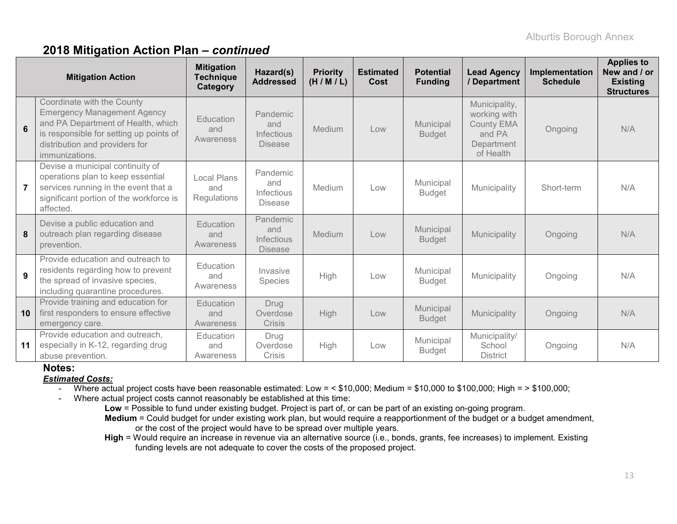### **2018 Mitigation Action Plan –** *continued*

| <b>Mitigation Action</b> |                                                                                                                                                                                                       | <b>Mitigation</b><br><b>Technique</b><br>Category | Hazard(s)<br><b>Addressed</b>                   | <b>Priority</b><br>(H/M/L) | <b>Estimated</b><br><b>Cost</b> | <b>Potential</b><br><b>Funding</b> | <b>Lead Agency</b><br>/ Department                                                      | Implementation<br><b>Schedule</b> | <b>Applies to</b><br>New and / or<br><b>Existing</b><br><b>Structures</b> |
|--------------------------|-------------------------------------------------------------------------------------------------------------------------------------------------------------------------------------------------------|---------------------------------------------------|-------------------------------------------------|----------------------------|---------------------------------|------------------------------------|-----------------------------------------------------------------------------------------|-----------------------------------|---------------------------------------------------------------------------|
| 6                        | Coordinate with the County<br><b>Emergency Management Agency</b><br>and PA Department of Health, which<br>is responsible for setting up points of<br>distribution and providers for<br>immunizations. | Education<br>and<br>Awareness                     | Pandemic<br>and<br>Infectious<br><b>Disease</b> | <b>Medium</b>              | Low                             | Municipal<br><b>Budget</b>         | Municipality,<br>working with<br><b>County EMA</b><br>and PA<br>Department<br>of Health | Ongoing                           | N/A                                                                       |
| $\overline{7}$           | Devise a municipal continuity of<br>operations plan to keep essential<br>services running in the event that a<br>significant portion of the workforce is<br>affected.                                 | <b>Local Plans</b><br>and<br>Regulations          | Pandemic<br>and<br>Infectious<br><b>Disease</b> | Medium                     | Low                             | Municipal<br><b>Budget</b>         | Municipality                                                                            | Short-term                        | N/A                                                                       |
| 8                        | Devise a public education and<br>outreach plan regarding disease<br>prevention.                                                                                                                       | <b>Education</b><br>and<br>Awareness              | Pandemic<br>and<br>Infectious<br><b>Disease</b> | Medium                     | Low                             | Municipal<br><b>Budget</b>         | Municipality                                                                            | Ongoing                           | N/A                                                                       |
| 9                        | Provide education and outreach to<br>residents regarding how to prevent<br>the spread of invasive species,<br>including quarantine procedures.                                                        | Education<br>and<br>Awareness                     | Invasive<br>Species                             | High                       | Low                             | Municipal<br><b>Budget</b>         | Municipality                                                                            | Ongoing                           | N/A                                                                       |
| 10                       | Provide training and education for<br>first responders to ensure effective<br>emergency care.                                                                                                         | <b>Education</b><br>and<br>Awareness              | Drug<br>Overdose<br><b>Crisis</b>               | High                       | Low                             | Municipal<br><b>Budget</b>         | Municipality                                                                            | Ongoing                           | N/A                                                                       |
| 11                       | Provide education and outreach,<br>especially in K-12, regarding drug<br>abuse prevention.                                                                                                            | Education<br>and<br>Awareness                     | Drug<br>Overdose<br><b>Crisis</b>               | High                       | Low                             | Municipal<br><b>Budget</b>         | Municipality/<br>School<br><b>District</b>                                              | Ongoing                           | N/A                                                                       |

#### **Notes:**

#### *Estimated Costs:*

- Where actual project costs have been reasonable estimated: Low = < \$10,000; Medium = \$10,000 to \$100,000; High = > \$100,000;

- Where actual project costs cannot reasonably be established at this time:

**Low** = Possible to fund under existing budget. Project is part of, or can be part of an existing on-going program. **Medium** = Could budget for under existing work plan, but would require a reapportionment of the budget or a budget amendment, or the cost of the project would have to be spread over multiple years.

**High** = Would require an increase in revenue via an alternative source (i.e., bonds, grants, fee increases) to implement. Existing funding levels are not adequate to cover the costs of the proposed project.